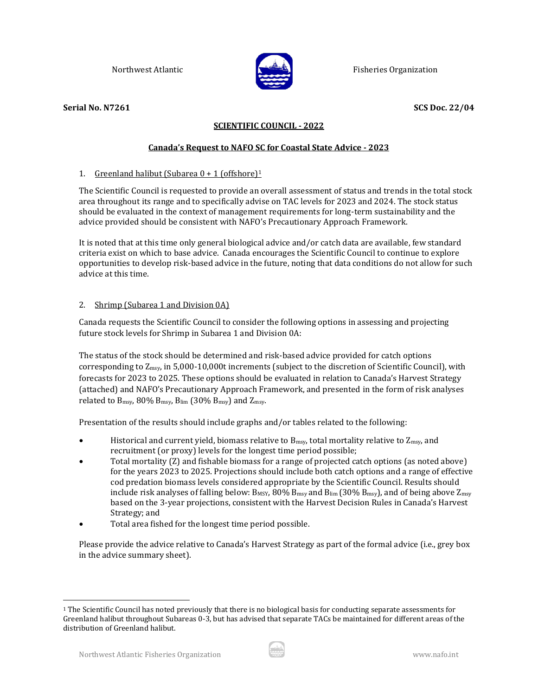

Northwest Atlantic **Fisheries Organization** Fisheries Organization

# **Serial No. N7261 SCS Doc. 22/04**

# **SCIENTIFIC COUNCIL - 2022**

# **Canada's Request to NAFO SC for Coastal State Advice - 2023**

# 1. Greenland halibut (Subarea  $0 + 1$  (offshore)<sup>1</sup>

The Scientific Council is requested to provide an overall assessment of status and trends in the total stock area throughout its range and to specifically advise on TAC levels for 2023 and 2024. The stock status should be evaluated in the context of management requirements for long-term sustainability and the advice provided should be consistent with NAFO's Precautionary Approach Framework.

It is noted that at this time only general biological advice and/or catch data are available, few standard criteria exist on which to base advice. Canada encourages the Scientific Council to continue to explore opportunities to develop risk-based advice in the future, noting that data conditions do not allow for such advice at this time.

# 2. Shrimp (Subarea 1 and Division 0A)

Canada requests the Scientific Council to consider the following options in assessing and projecting future stock levels for Shrimp in Subarea 1 and Division 0A:

The status of the stock should be determined and risk-based advice provided for catch options corresponding to Zmsy, in 5,000-10,000t increments (subject to the discretion of Scientific Council), with forecasts for 2023 to 2025. These options should be evaluated in relation to Canada's Harvest Strategy (attached) and NAFO's Precautionary Approach Framework, and presented in the form of risk analyses related to  $B_{msy}$ , 80%  $B_{msy}$ ,  $B_{lim}$  (30%  $B_{msy}$ ) and  $Z_{msy}$ .

Presentation of the results should include graphs and/or tables related to the following:

- Historical and current yield, biomass relative to  $B_{msy}$ , total mortality relative to  $Z_{msy}$ , and recruitment (or proxy) levels for the longest time period possible;
- Total mortality (Z) and fishable biomass for a range of projected catch options (as noted above) for the years 2023 to 2025. Projections should include both catch options and a range of effective cod predation biomass levels considered appropriate by the Scientific Council. Results should include risk analyses of falling below:  $B_{MSV}$ , 80%  $B_{msv}$  and  $B_{lim}$  (30%  $B_{msv}$ ), and of being above  $Z_{msv}$ based on the 3-year projections, consistent with the Harvest Decision Rules in Canada's Harvest Strategy; and
- Total area fished for the longest time period possible.

Please provide the advice relative to Canada's Harvest Strategy as part of the formal advice (i.e., grey box in the advice summary sheet).



<sup>1</sup> The Scientific Council has noted previously that there is no biological basis for conducting separate assessments for Greenland halibut throughout Subareas 0-3, but has advised that separate TACs be maintained for different areas of the distribution of Greenland halibut.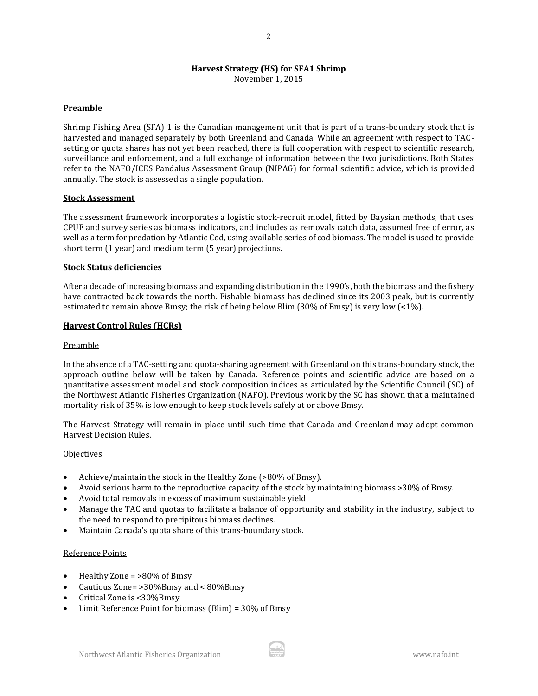# **Harvest Strategy (HS) for SFA1 Shrimp**

November 1, 2015

## **Preamble**

Shrimp Fishing Area (SFA) 1 is the Canadian management unit that is part of a trans-boundary stock that is harvested and managed separately by both Greenland and Canada. While an agreement with respect to TACsetting or quota shares has not yet been reached, there is full cooperation with respect to scientific research, surveillance and enforcement, and a full exchange of information between the two jurisdictions. Both States refer to the NAFO/ICES Pandalus Assessment Group (NIPAG) for formal scientific advice, which is provided annually. The stock is assessed as a single population.

## **Stock Assessment**

The assessment framework incorporates a logistic stock-recruit model, fitted by Baysian methods, that uses CPUE and survey series as biomass indicators, and includes as removals catch data, assumed free of error, as well as a term for predation by Atlantic Cod, using available series of cod biomass. The model is used to provide short term (1 year) and medium term (5 year) projections.

#### **Stock Status deficiencies**

After a decade of increasing biomass and expanding distribution in the 1990's, both the biomass and the fishery have contracted back towards the north. Fishable biomass has declined since its 2003 peak, but is currently estimated to remain above Bmsy; the risk of being below Blim (30% of Bmsy) is very low (<1%).

## **Harvest Control Rules (HCRs)**

#### Preamble

In the absence of a TAC-setting and quota-sharing agreement with Greenland on this trans-boundary stock, the approach outline below will be taken by Canada. Reference points and scientific advice are based on a quantitative assessment model and stock composition indices as articulated by the Scientific Council (SC) of the Northwest Atlantic Fisheries Organization (NAFO). Previous work by the SC has shown that a maintained mortality risk of 35% is low enough to keep stock levels safely at or above Bmsy.

The Harvest Strategy will remain in place until such time that Canada and Greenland may adopt common Harvest Decision Rules.

#### **Objectives**

- Achieve/maintain the stock in the Healthy Zone (>80% of Bmsy).
- Avoid serious harm to the reproductive capacity of the stock by maintaining biomass >30% of Bmsy.
- Avoid total removals in excess of maximum sustainable yield.
- Manage the TAC and quotas to facilitate a balance of opportunity and stability in the industry, subject to the need to respond to precipitous biomass declines.
- Maintain Canada's quota share of this trans-boundary stock.

#### Reference Points

- Healthy Zone = >80% of Bmsy
- Cautious Zone= >30%Bmsy and < 80%Bmsy
- Critical Zone is <30%Bmsy
- Limit Reference Point for biomass (Blim) = 30% of Bmsy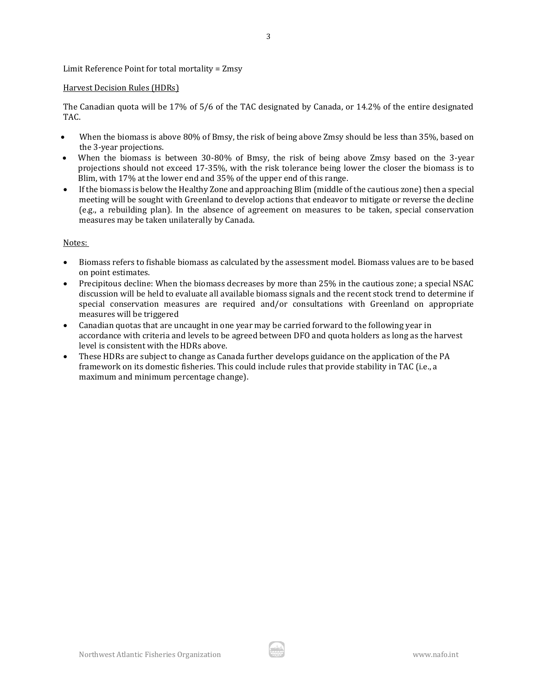Limit Reference Point for total mortality = Zmsy

## Harvest Decision Rules (HDRs)

The Canadian quota will be 17% of 5/6 of the TAC designated by Canada, or 14.2% of the entire designated TAC.

3

- When the biomass is above 80% of Bmsy, the risk of being above Zmsy should be less than 35%, based on the 3-year projections.
- When the biomass is between 30-80% of Bmsy, the risk of being above Zmsy based on the 3-year projections should not exceed 17-35%, with the risk tolerance being lower the closer the biomass is to Blim, with 17% at the lower end and 35% of the upper end of this range.
- If the biomass is below the Healthy Zone and approaching Blim (middle of the cautious zone) then a special meeting will be sought with Greenland to develop actions that endeavor to mitigate or reverse the decline (e.g., a rebuilding plan). In the absence of agreement on measures to be taken, special conservation measures may be taken unilaterally by Canada.

## Notes:

- Biomass refers to fishable biomass as calculated by the assessment model. Biomass values are to be based on point estimates.
- Precipitous decline: When the biomass decreases by more than 25% in the cautious zone; a special NSAC discussion will be held to evaluate all available biomass signals and the recent stock trend to determine if special conservation measures are required and/or consultations with Greenland on appropriate measures will be triggered
- Canadian quotas that are uncaught in one year may be carried forward to the following year in accordance with criteria and levels to be agreed between DFO and quota holders as long as the harvest level is consistent with the HDRs above.
- These HDRs are subject to change as Canada further develops guidance on the application of the PA framework on its domestic fisheries. This could include rules that provide stability in TAC (i.e., a maximum and minimum percentage change).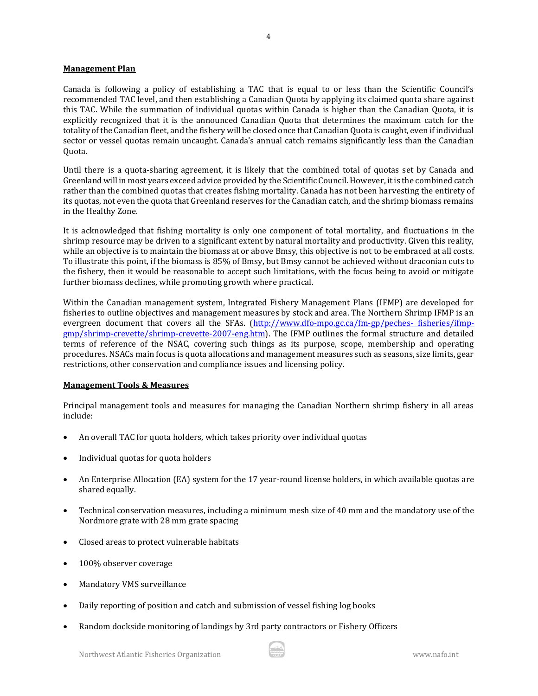## **Management Plan**

Canada is following a policy of establishing a TAC that is equal to or less than the Scientific Council's recommended TAC level, and then establishing a Canadian Quota by applying its claimed quota share against this TAC. While the summation of individual quotas within Canada is higher than the Canadian Quota, it is explicitly recognized that it is the announced Canadian Quota that determines the maximum catch for the totality of the Canadian fleet, and the fishery will be closed once that Canadian Quota is caught, even if individual sector or vessel quotas remain uncaught. Canada's annual catch remains significantly less than the Canadian Quota.

Until there is a quota-sharing agreement, it is likely that the combined total of quotas set by Canada and Greenland will in most years exceed advice provided by the Scientific Council. However, it is the combined catch rather than the combined quotas that creates fishing mortality. Canada has not been harvesting the entirety of its quotas, not even the quota that Greenland reserves for the Canadian catch, and the shrimp biomass remains in the Healthy Zone.

It is acknowledged that fishing mortality is only one component of total mortality, and fluctuations in the shrimp resource may be driven to a significant extent by natural mortality and productivity. Given this reality, while an objective is to maintain the biomass at or above Bmsy, this objective is not to be embraced at all costs. To illustrate this point, if the biomass is 85% of Bmsy, but Bmsy cannot be achieved without draconian cuts to the fishery, then it would be reasonable to accept such limitations, with the focus being to avoid or mitigate further biomass declines, while promoting growth where practical.

Within the Canadian management system, Integrated Fishery Management Plans (IFMP) are developed for fisheries to outline objectives and management measures by stock and area. The Northern Shrimp IFMP is an evergreen document that covers all the SFAs. [\(http://www.dfo-mpo.gc.ca/fm-gp/peches-](http://www.dfo-mpo.gc.ca/fm-gp/peches-%20fisheries/ifmp-gmp/shrimp-crevette/shrimp-crevette-2007-eng.htm) fisheries/ifmp[gmp/shrimp-crevette/shrimp-crevette-2007-eng.htm\)](http://www.dfo-mpo.gc.ca/fm-gp/peches-%20fisheries/ifmp-gmp/shrimp-crevette/shrimp-crevette-2007-eng.htm). The IFMP outlines the formal structure and detailed terms of reference of the NSAC, covering such things as its purpose, scope, membership and operating procedures. NSACs main focus is quota allocations and management measures such as seasons, size limits, gear restrictions, other conservation and compliance issues and licensing policy.

#### **Management Tools & Measures**

Principal management tools and measures for managing the Canadian Northern shrimp fishery in all areas include:

- An overall TAC for quota holders, which takes priority over individual quotas
- Individual quotas for quota holders
- An Enterprise Allocation (EA) system for the 17 year-round license holders, in which available quotas are shared equally.
- Technical conservation measures, including a minimum mesh size of 40 mm and the mandatory use of the Nordmore grate with 28 mm grate spacing
- Closed areas to protect vulnerable habitats
- 100% observer coverage
- Mandatory VMS surveillance
- Daily reporting of position and catch and submission of vessel fishing log books
- Random dockside monitoring of landings by 3rd party contractors or Fishery Officers